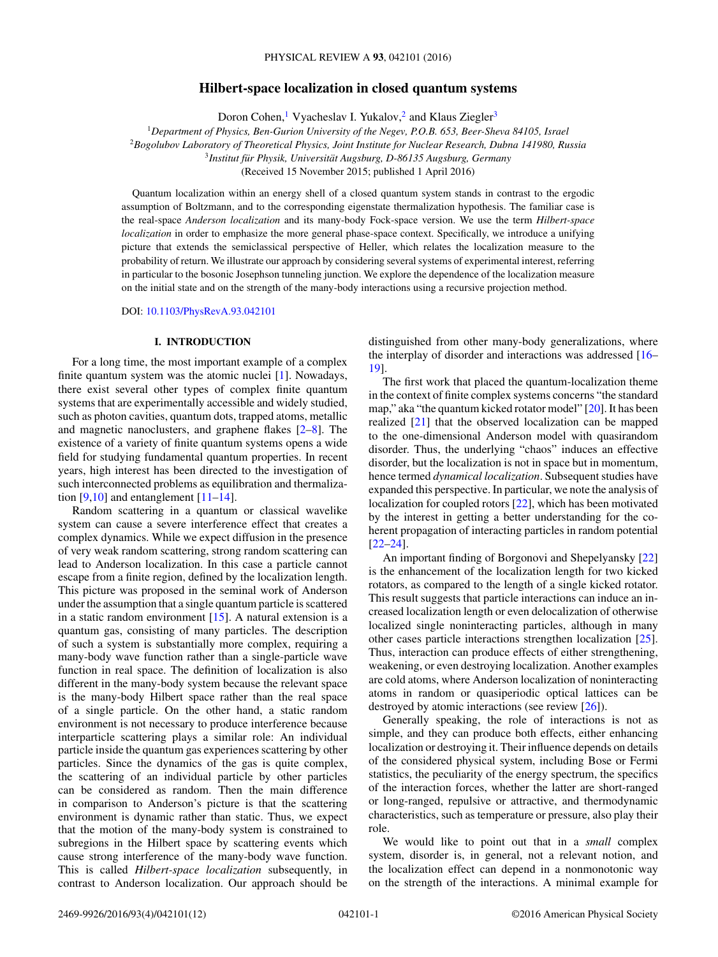# **Hilbert-space localization in closed quantum systems**

Doron Cohen,<sup>1</sup> Vyacheslav I. Yukalov,<sup>2</sup> and Klaus Ziegler<sup>3</sup>

<sup>1</sup>*Department of Physics, Ben-Gurion University of the Negev, P.O.B. 653, Beer-Sheva 84105, Israel* <sup>2</sup>*Bogolubov Laboratory of Theoretical Physics, Joint Institute for Nuclear Research, Dubna 141980, Russia*

<sup>3</sup> Institut für Physik, Universität Augsburg, D-86135 Augsburg, Germany

(Received 15 November 2015; published 1 April 2016)

Quantum localization within an energy shell of a closed quantum system stands in contrast to the ergodic assumption of Boltzmann, and to the corresponding eigenstate thermalization hypothesis. The familiar case is the real-space *Anderson localization* and its many-body Fock-space version. We use the term *Hilbert-space localization* in order to emphasize the more general phase-space context. Specifically, we introduce a unifying picture that extends the semiclassical perspective of Heller, which relates the localization measure to the probability of return. We illustrate our approach by considering several systems of experimental interest, referring in particular to the bosonic Josephson tunneling junction. We explore the dependence of the localization measure on the initial state and on the strength of the many-body interactions using a recursive projection method.

DOI: [10.1103/PhysRevA.93.042101](http://dx.doi.org/10.1103/PhysRevA.93.042101)

# **I. INTRODUCTION**

For a long time, the most important example of a complex finite quantum system was the atomic nuclei [\[1\]](#page-10-0). Nowadays, there exist several other types of complex finite quantum systems that are experimentally accessible and widely studied, such as photon cavities, quantum dots, trapped atoms, metallic and magnetic nanoclusters, and graphene flakes [\[2–8\]](#page-10-0). The existence of a variety of finite quantum systems opens a wide field for studying fundamental quantum properties. In recent years, high interest has been directed to the investigation of such interconnected problems as equilibration and thermalization  $[9,10]$  and entanglement  $[11-14]$ .

Random scattering in a quantum or classical wavelike system can cause a severe interference effect that creates a complex dynamics. While we expect diffusion in the presence of very weak random scattering, strong random scattering can lead to Anderson localization. In this case a particle cannot escape from a finite region, defined by the localization length. This picture was proposed in the seminal work of Anderson under the assumption that a single quantum particle is scattered in a static random environment  $[15]$ . A natural extension is a quantum gas, consisting of many particles. The description of such a system is substantially more complex, requiring a many-body wave function rather than a single-particle wave function in real space. The definition of localization is also different in the many-body system because the relevant space is the many-body Hilbert space rather than the real space of a single particle. On the other hand, a static random environment is not necessary to produce interference because interparticle scattering plays a similar role: An individual particle inside the quantum gas experiences scattering by other particles. Since the dynamics of the gas is quite complex, the scattering of an individual particle by other particles can be considered as random. Then the main difference in comparison to Anderson's picture is that the scattering environment is dynamic rather than static. Thus, we expect that the motion of the many-body system is constrained to subregions in the Hilbert space by scattering events which cause strong interference of the many-body wave function. This is called *Hilbert-space localization* subsequently, in contrast to Anderson localization. Our approach should be distinguished from other many-body generalizations, where the interplay of disorder and interactions was addressed [\[16–](#page-10-0) [19\]](#page-10-0).

The first work that placed the quantum-localization theme in the context of finite complex systems concerns "the standard map," aka "the quantum kicked rotator model" [\[20\]](#page-10-0). It has been realized [\[21\]](#page-10-0) that the observed localization can be mapped to the one-dimensional Anderson model with quasirandom disorder. Thus, the underlying "chaos" induces an effective disorder, but the localization is not in space but in momentum, hence termed *dynamical localization*. Subsequent studies have expanded this perspective. In particular, we note the analysis of localization for coupled rotors [\[22\]](#page-10-0), which has been motivated by the interest in getting a better understanding for the coherent propagation of interacting particles in random potential [\[22–24\]](#page-10-0).

An important finding of Borgonovi and Shepelyansky [\[22\]](#page-10-0) is the enhancement of the localization length for two kicked rotators, as compared to the length of a single kicked rotator. This result suggests that particle interactions can induce an increased localization length or even delocalization of otherwise localized single noninteracting particles, although in many other cases particle interactions strengthen localization [\[25\]](#page-10-0). Thus, interaction can produce effects of either strengthening, weakening, or even destroying localization. Another examples are cold atoms, where Anderson localization of noninteracting atoms in random or quasiperiodic optical lattices can be destroyed by atomic interactions (see review [\[26\]](#page-10-0)).

Generally speaking, the role of interactions is not as simple, and they can produce both effects, either enhancing localization or destroying it. Their influence depends on details of the considered physical system, including Bose or Fermi statistics, the peculiarity of the energy spectrum, the specifics of the interaction forces, whether the latter are short-ranged or long-ranged, repulsive or attractive, and thermodynamic characteristics, such as temperature or pressure, also play their role.

We would like to point out that in a *small* complex system, disorder is, in general, not a relevant notion, and the localization effect can depend in a nonmonotonic way on the strength of the interactions. A minimal example for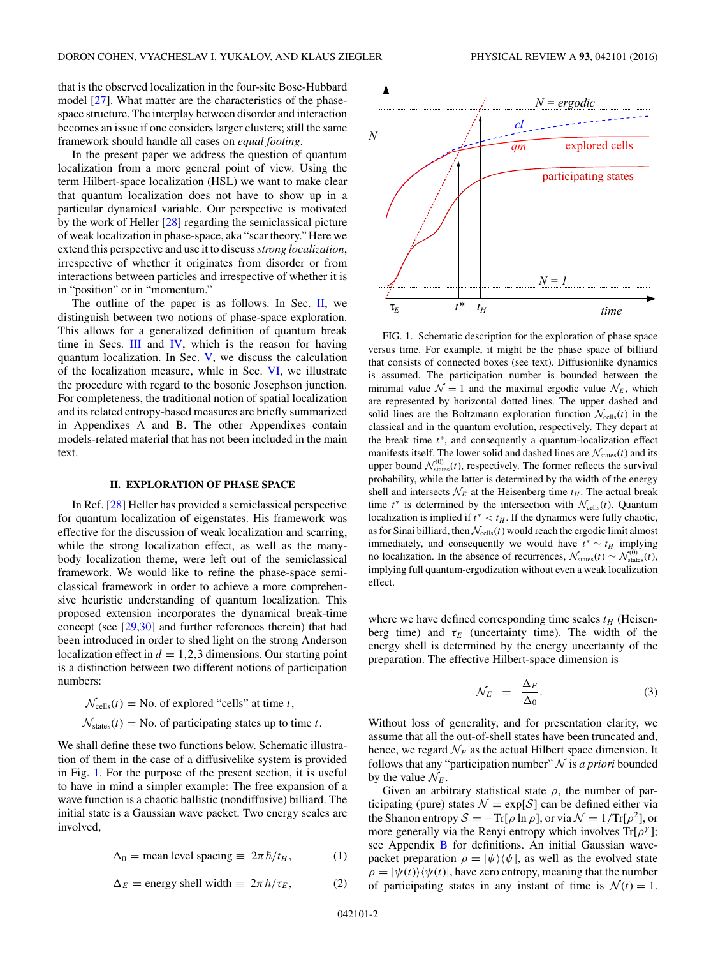<span id="page-1-0"></span>that is the observed localization in the four-site Bose-Hubbard model [\[27\]](#page-10-0). What matter are the characteristics of the phasespace structure. The interplay between disorder and interaction becomes an issue if one considers larger clusters; still the same framework should handle all cases on *equal footing*.

In the present paper we address the question of quantum localization from a more general point of view. Using the term Hilbert-space localization (HSL) we want to make clear that quantum localization does not have to show up in a particular dynamical variable. Our perspective is motivated by the work of Heller [\[28\]](#page-10-0) regarding the semiclassical picture of weak localization in phase-space, aka "scar theory." Here we extend this perspective and use it to discuss*strong localization*, irrespective of whether it originates from disorder or from interactions between particles and irrespective of whether it is in "position" or in "momentum."

The outline of the paper is as follows. In Sec. II, we distinguish between two notions of phase-space exploration. This allows for a generalized definition of quantum break time in Secs. [III](#page-2-0) and [IV,](#page-3-0) which is the reason for having quantum localization. In Sec. [V,](#page-3-0) we discuss the calculation of the localization measure, while in Sec. [VI,](#page-4-0) we illustrate the procedure with regard to the bosonic Josephson junction. For completeness, the traditional notion of spatial localization and its related entropy-based measures are briefly summarized in Appendixes A and B. The other Appendixes contain models-related material that has not been included in the main text.

## **II. EXPLORATION OF PHASE SPACE**

In Ref. [\[28\]](#page-10-0) Heller has provided a semiclassical perspective for quantum localization of eigenstates. His framework was effective for the discussion of weak localization and scarring, while the strong localization effect, as well as the manybody localization theme, were left out of the semiclassical framework. We would like to refine the phase-space semiclassical framework in order to achieve a more comprehensive heuristic understanding of quantum localization. This proposed extension incorporates the dynamical break-time concept (see [\[29,30\]](#page-10-0) and further references therein) that had been introduced in order to shed light on the strong Anderson localization effect in  $d = 1,2,3$  dimensions. Our starting point is a distinction between two different notions of participation numbers:

$$
\mathcal{N}_{\text{cells}}(t) = \text{No. of explored "cells" at time } t,
$$
  

$$
\mathcal{N}_{\text{states}}(t) = \text{No. of participating states up to time } t.
$$

We shall define these two functions below. Schematic illustration of them in the case of a diffusivelike system is provided in Fig. 1. For the purpose of the present section, it is useful to have in mind a simpler example: The free expansion of a wave function is a chaotic ballistic (nondiffusive) billiard. The initial state is a Gaussian wave packet. Two energy scales are involved,

$$
\Delta_0 = \text{mean level spacing} \equiv 2\pi \hbar / t_H, \quad (1)
$$

$$
\Delta_E = \text{energy shell width} \equiv 2\pi \hbar / \tau_E, \quad (2)
$$



FIG. 1. Schematic description for the exploration of phase space versus time. For example, it might be the phase space of billiard that consists of connected boxes (see text). Diffusionlike dynamics is assumed. The participation number is bounded between the minimal value  $\mathcal{N} = 1$  and the maximal ergodic value  $\mathcal{N}_E$ , which are represented by horizontal dotted lines. The upper dashed and solid lines are the Boltzmann exploration function  $\mathcal{N}_{\text{cells}}(t)$  in the classical and in the quantum evolution, respectively. They depart at the break time  $t^*$ , and consequently a quantum-localization effect manifests itself. The lower solid and dashed lines are  $\mathcal{N}_{\text{states}}(t)$  and its upper bound  $\mathcal{N}_{\text{states}}^{(0)}(t)$ , respectively. The former reflects the survival probability, while the latter is determined by the width of the energy shell and intersects  $\mathcal{N}_E$  at the Heisenberg time  $t_H$ . The actual break time  $t^*$  is determined by the intersection with  $\mathcal{N}_{\text{cells}}(t)$ . Quantum localization is implied if  $t^* < t_H$ . If the dynamics were fully chaotic, as for Sinai billiard, then  $\mathcal{N}_{\text{cells}}(t)$  would reach the ergodic limit almost immediately, and consequently we would have  $t^* \sim t_H$  implying no localization. In the absence of recurrences,  $\mathcal{N}_{\text{states}}(t) \sim \mathcal{N}_{\text{states}}^{(0)}(t)$ , implying full quantum-ergodization without even a weak localization effect.

where we have defined corresponding time scales  $t_H$  (Heisenberg time) and  $\tau_E$  (uncertainty time). The width of the energy shell is determined by the energy uncertainty of the preparation. The effective Hilbert-space dimension is

$$
\mathcal{N}_E = \frac{\Delta_E}{\Delta_0}.\tag{3}
$$

Without loss of generality, and for presentation clarity, we assume that all the out-of-shell states have been truncated and, hence, we regard  $\mathcal{N}_E$  as the actual Hilbert space dimension. It follows that any "participation number"  $N$  is *a priori* bounded by the value  $\mathcal{N}_E$ .

Given an arbitrary statistical state  $\rho$ , the number of participating (pure) states  $\mathcal{N} \equiv \exp[\mathcal{S}]$  can be defined either via the Shanon entropy  $S = -Tr[\rho \ln \rho]$ , or via  $\mathcal{N} = 1/Tr[\rho^2]$ , or more generally via the Renyi entropy which involves Tr[*ρ<sup>γ</sup>* ]; see Appendix [B](#page-9-0) for definitions. An initial Gaussian wavepacket preparation  $\rho = |\psi\rangle \langle \psi|$ , as well as the evolved state  $\rho = |\psi(t)\rangle \langle \psi(t)|$ , have zero entropy, meaning that the number of participating states in any instant of time is  $\mathcal{N}(t) = 1$ .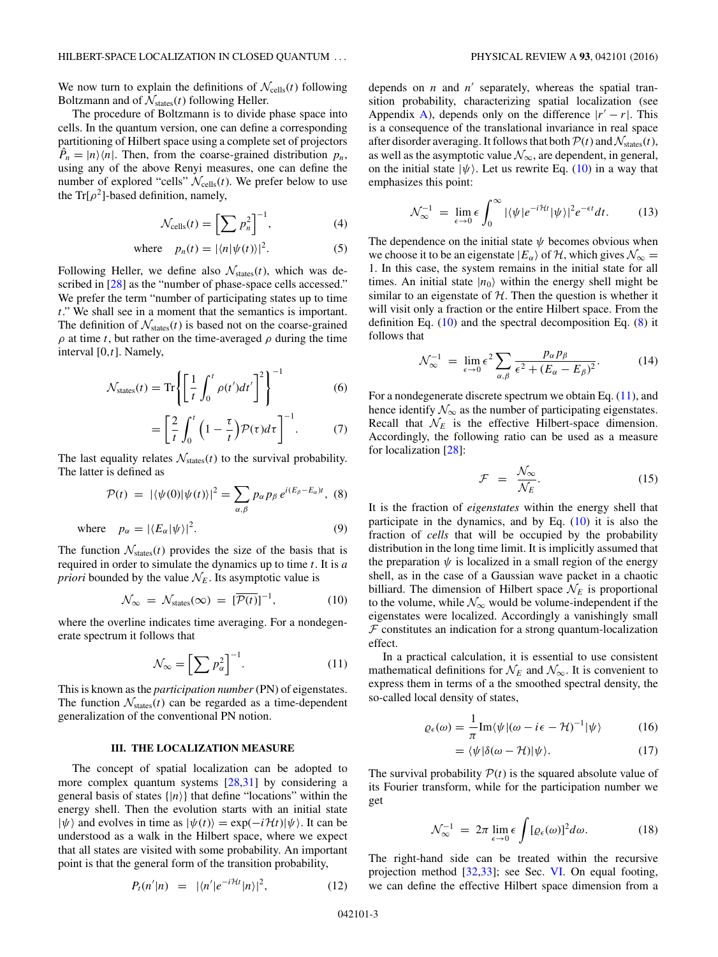<span id="page-2-0"></span>We now turn to explain the definitions of  $\mathcal{N}_{\text{cells}}(t)$  following Boltzmann and of  $\mathcal{N}_{\text{states}}(t)$  following Heller.

The procedure of Boltzmann is to divide phase space into cells. In the quantum version, one can define a corresponding partitioning of Hilbert space using a complete set of projectors  $\hat{P}_n = |n\rangle\langle n|$ . Then, from the coarse-grained distribution  $p_n$ , using any of the above Renyi measures, one can define the number of explored "cells"  $\mathcal{N}_{\text{cells}}(t)$ . We prefer below to use the Tr[ $\rho^2$ ]-based definition, namely,

$$
\mathcal{N}_{\text{cells}}(t) = \left[\sum p_n^2\right]^{-1},\tag{4}
$$

where 
$$
p_n(t) = |\langle n | \psi(t) \rangle|^2
$$
. (5)

Following Heller, we define also  $\mathcal{N}_{\text{states}}(t)$ , which was described in [\[28\]](#page-10-0) as the "number of phase-space cells accessed." We prefer the term "number of participating states up to time *t*." We shall see in a moment that the semantics is important. The definition of  $\mathcal{N}_{\text{states}}(t)$  is based not on the coarse-grained  $\rho$  at time *t*, but rather on the time-averaged  $\rho$  during the time interval [0*,t*]. Namely,

$$
\mathcal{N}_{\text{states}}(t) = \text{Tr}\left\{ \left[ \frac{1}{t} \int_0^t \rho(t')dt' \right]^2 \right\}^{-1} \tag{6}
$$

$$
= \left[\frac{2}{t}\int_0^t \left(1 - \frac{\tau}{t}\right) \mathcal{P}(\tau) d\tau\right]^{-1}.\tag{7}
$$

The last equality relates  $\mathcal{N}_{\text{states}}(t)$  to the survival probability. The latter is defined as

$$
\mathcal{P}(t) = |\langle \psi(0) | \psi(t) \rangle|^2 = \sum_{\alpha, \beta} p_{\alpha} p_{\beta} e^{i(E_{\beta} - E_{\alpha})t}, \tag{8}
$$

where 
$$
p_{\alpha} = |\langle E_{\alpha} | \psi \rangle|^2
$$
. (9)

The function  $\mathcal{N}_{\text{states}}(t)$  provides the size of the basis that is required in order to simulate the dynamics up to time *t*. It is *a priori* bounded by the value  $\mathcal{N}_E$ . Its asymptotic value is

$$
\mathcal{N}_{\infty} = \mathcal{N}_{\text{states}}(\infty) = [\overline{\mathcal{P}(t)}]^{-1}, \tag{10}
$$

where the overline indicates time averaging. For a nondegenerate spectrum it follows that

$$
\mathcal{N}_{\infty} = \left[\sum p_{\alpha}^2\right]^{-1}.\tag{11}
$$

This is known as the *participation number*(PN) of eigenstates. The function  $\mathcal{N}_{\text{states}}(t)$  can be regarded as a time-dependent generalization of the conventional PN notion.

#### **III. THE LOCALIZATION MEASURE**

The concept of spatial localization can be adopted to more complex quantum systems [\[28,31\]](#page-10-0) by considering a general basis of states  $\{|n\rangle\}$  that define "locations" within the energy shell. Then the evolution starts with an initial state  $|\psi\rangle$  and evolves in time as  $|\psi(t)\rangle = \exp(-i\mathcal{H}t)|\psi\rangle$ . It can be understood as a walk in the Hilbert space, where we expect that all states are visited with some probability. An important point is that the general form of the transition probability,

$$
P_t(n'|n) = |\langle n'|e^{-i\mathcal{H}t}|n\rangle|^2, \tag{12}
$$

depends on  $n$  and  $n'$  separately, whereas the spatial transition probability, characterizing spatial localization (see Appendix [A\)](#page-8-0), depends only on the difference  $|r' - r|$ . This is a consequence of the translational invariance in real space after disorder averaging. It follows that both  $P(t)$  and  $\mathcal{N}_{\text{states}}(t)$ , as well as the asymptotic value  $\mathcal{N}_{\infty}$ , are dependent, in general, on the initial state  $|\psi\rangle$ . Let us rewrite Eq. (10) in a way that emphasizes this point:

$$
\mathcal{N}_{\infty}^{-1} = \lim_{\epsilon \to 0} \epsilon \int_0^{\infty} |\langle \psi | e^{-i\mathcal{H}t} | \psi \rangle|^2 e^{-\epsilon t} dt. \tag{13}
$$

The dependence on the initial state  $\psi$  becomes obvious when we choose it to be an eigenstate  $|E_\alpha\rangle$  of H, which gives  $\mathcal{N}_\infty$  = 1. In this case, the system remains in the initial state for all times. An initial state  $|n_0\rangle$  within the energy shell might be similar to an eigenstate of  $H$ . Then the question is whether it will visit only a fraction or the entire Hilbert space. From the definition Eq.  $(10)$  and the spectral decomposition Eq.  $(8)$  it follows that

$$
\mathcal{N}_{\infty}^{-1} = \lim_{\epsilon \to 0} \epsilon^2 \sum_{\alpha,\beta} \frac{p_{\alpha} p_{\beta}}{\epsilon^2 + (E_{\alpha} - E_{\beta})^2}.
$$
 (14)

For a nondegenerate discrete spectrum we obtain Eq.  $(11)$ , and hence identify  $\mathcal{N}_{\infty}$  as the number of participating eigenstates. Recall that  $\mathcal{N}_E$  is the effective Hilbert-space dimension. Accordingly, the following ratio can be used as a measure for localization [\[28\]](#page-10-0):

$$
\mathcal{F} = \frac{\mathcal{N}_{\infty}}{\mathcal{N}_E}.\tag{15}
$$

It is the fraction of *eigenstates* within the energy shell that participate in the dynamics, and by Eq. (10) it is also the fraction of *cells* that will be occupied by the probability distribution in the long time limit. It is implicitly assumed that the preparation  $\psi$  is localized in a small region of the energy shell, as in the case of a Gaussian wave packet in a chaotic billiard. The dimension of Hilbert space  $\mathcal{N}_E$  is proportional to the volume, while  $\mathcal{N}_{\infty}$  would be volume-independent if the eigenstates were localized. Accordingly a vanishingly small  $F$  constitutes an indication for a strong quantum-localization effect.

In a practical calculation, it is essential to use consistent mathematical definitions for  $\mathcal{N}_E$  and  $\mathcal{N}_{\infty}$ . It is convenient to express them in terms of a the smoothed spectral density, the so-called local density of states,

$$
\varrho_{\epsilon}(\omega) = \frac{1}{\pi} \text{Im}\langle \psi | (\omega - i\epsilon - \mathcal{H})^{-1} | \psi \rangle \tag{16}
$$

$$
= \langle \psi | \delta(\omega - \mathcal{H}) | \psi \rangle. \tag{17}
$$

The survival probability  $P(t)$  is the squared absolute value of its Fourier transform, while for the participation number we get

$$
\mathcal{N}_{\infty}^{-1} = 2\pi \lim_{\epsilon \to 0} \epsilon \int [\varrho_{\epsilon}(\omega)]^2 d\omega.
$$
 (18)

The right-hand side can be treated within the recursive projection method [\[32,33\]](#page-10-0); see Sec. [VI.](#page-4-0) On equal footing, we can define the effective Hilbert space dimension from a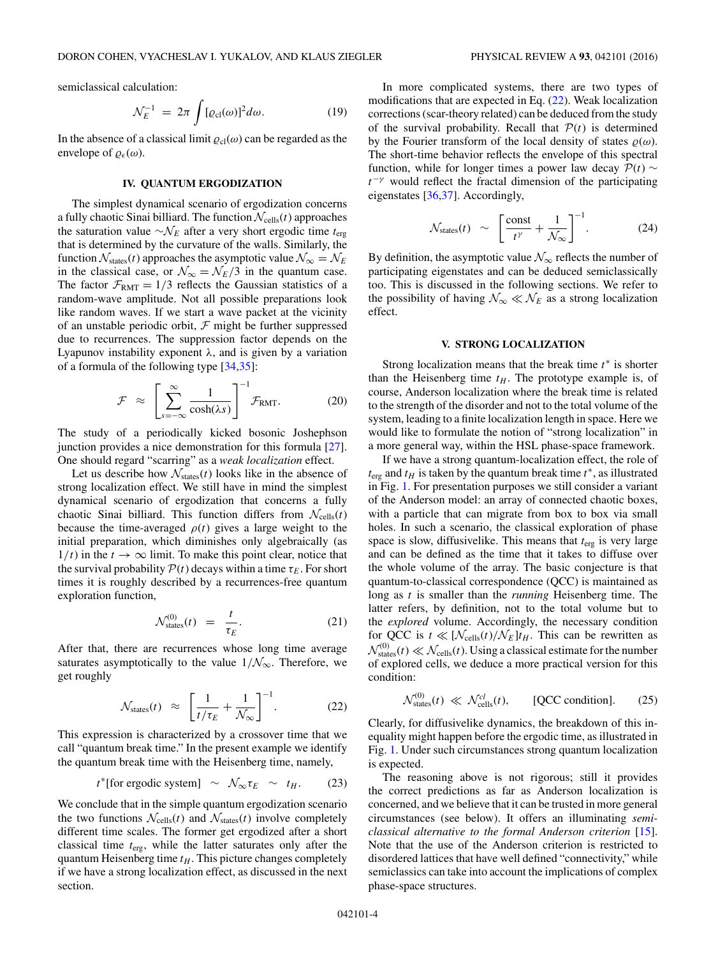<span id="page-3-0"></span>semiclassical calculation:

$$
\mathcal{N}_E^{-1} = 2\pi \int [\varrho_{\rm cl}(\omega)]^2 d\omega. \tag{19}
$$

In the absence of a classical limit  $\rho_{\text{cl}}(\omega)$  can be regarded as the envelope of  $\varrho_{\epsilon}(\omega)$ .

## **IV. QUANTUM ERGODIZATION**

The simplest dynamical scenario of ergodization concerns a fully chaotic Sinai billiard. The function  $\mathcal{N}_{\text{cells}}(t)$  approaches the saturation value ∼N*<sup>E</sup>* after a very short ergodic time *t*erg that is determined by the curvature of the walls. Similarly, the function  $\mathcal{N}_{\text{states}}(t)$  approaches the asymptotic value  $\mathcal{N}_{\infty} = \mathcal{N}_{E}$ in the classical case, or  $\mathcal{N}_{\infty} = \mathcal{N}_{E}/3$  in the quantum case. The factor  $\mathcal{F}_{RMT} = 1/3$  reflects the Gaussian statistics of a random-wave amplitude. Not all possible preparations look like random waves. If we start a wave packet at the vicinity of an unstable periodic orbit,  $F$  might be further suppressed due to recurrences. The suppression factor depends on the Lyapunov instability exponent *λ*, and is given by a variation of a formula of the following type [\[34,35\]](#page-10-0):

$$
\mathcal{F} \approx \left[ \sum_{s=-\infty}^{\infty} \frac{1}{\cosh(\lambda s)} \right]^{-1} \mathcal{F}_{RMT}.
$$
 (20)

The study of a periodically kicked bosonic Joshephson junction provides a nice demonstration for this formula [\[27\]](#page-10-0). One should regard "scarring" as a *weak localization* effect.

Let us describe how  $\mathcal{N}_{\text{states}}(t)$  looks like in the absence of strong localization effect. We still have in mind the simplest dynamical scenario of ergodization that concerns a fully chaotic Sinai billiard. This function differs from  $\mathcal{N}_{\text{cells}}(t)$ because the time-averaged  $\rho(t)$  gives a large weight to the initial preparation, which diminishes only algebraically (as  $1/t$ ) in the  $t \to \infty$  limit. To make this point clear, notice that the survival probability  $P(t)$  decays within a time  $\tau_E$ . For short times it is roughly described by a recurrences-free quantum exploration function,

$$
\mathcal{N}_{\text{states}}^{(0)}(t) = \frac{t}{\tau_E}.\tag{21}
$$

After that, there are recurrences whose long time average saturates asymptotically to the value  $1/N_{\infty}$ . Therefore, we get roughly

$$
\mathcal{N}_{\text{states}}(t) \approx \left[\frac{1}{t/\tau_E} + \frac{1}{\mathcal{N}_{\infty}}\right]^{-1}.
$$
 (22)

This expression is characterized by a crossover time that we call "quantum break time." In the present example we identify the quantum break time with the Heisenberg time, namely,

$$
t^*[
$$
for ergodic system]  $\sim \mathcal{N}_{\infty} \tau_E \sim t_H.$  (23)

We conclude that in the simple quantum ergodization scenario the two functions  $\mathcal{N}_{\text{cells}}(t)$  and  $\mathcal{N}_{\text{states}}(t)$  involve completely different time scales. The former get ergodized after a short classical time *t*erg, while the latter saturates only after the quantum Heisenberg time  $t_H$ . This picture changes completely if we have a strong localization effect, as discussed in the next section.

In more complicated systems, there are two types of modifications that are expected in Eq. (22). Weak localization corrections (scar-theory related) can be deduced from the study of the survival probability. Recall that  $P(t)$  is determined by the Fourier transform of the local density of states  $\rho(\omega)$ . The short-time behavior reflects the envelope of this spectral function, while for longer times a power law decay  $P(t)$  ~ *t*<sup>−*γ*</sup> would reflect the fractal dimension of the participating eigenstates [\[36,37\]](#page-10-0). Accordingly,

$$
\mathcal{N}_{\text{states}}(t) \sim \left[\frac{\text{const}}{t^{\gamma}} + \frac{1}{\mathcal{N}_{\infty}}\right]^{-1}.
$$
 (24)

By definition, the asymptotic value  $\mathcal{N}_{\infty}$  reflects the number of participating eigenstates and can be deduced semiclassically too. This is discussed in the following sections. We refer to the possibility of having  $\mathcal{N}_{\infty} \ll \mathcal{N}_E$  as a strong localization effect.

## **V. STRONG LOCALIZATION**

Strong localization means that the break time *t*<sup>∗</sup> is shorter than the Heisenberg time  $t_H$ . The prototype example is, of course, Anderson localization where the break time is related to the strength of the disorder and not to the total volume of the system, leading to a finite localization length in space. Here we would like to formulate the notion of "strong localization" in a more general way, within the HSL phase-space framework.

If we have a strong quantum-localization effect, the role of  $t_{\text{erg}}$  and  $t_H$  is taken by the quantum break time  $t^*$ , as illustrated in Fig. [1.](#page-1-0) For presentation purposes we still consider a variant of the Anderson model: an array of connected chaotic boxes, with a particle that can migrate from box to box via small holes. In such a scenario, the classical exploration of phase space is slow, diffusivelike. This means that  $t_{\text{erg}}$  is very large and can be defined as the time that it takes to diffuse over the whole volume of the array. The basic conjecture is that quantum-to-classical correspondence (QCC) is maintained as long as *t* is smaller than the *running* Heisenberg time. The latter refers, by definition, not to the total volume but to the *explored* volume. Accordingly, the necessary condition for QCC is  $t \ll [\mathcal{N}_{\text{cells}}(t)/\mathcal{N}_{E}]t_H$ . This can be rewritten as  $\mathcal{N}_{\text{states}}^{(0)}(t) \ll \mathcal{N}_{\text{cells}}(t)$ . Using a classical estimate for the number of explored cells, we deduce a more practical version for this condition:

$$
\mathcal{N}_{\text{states}}^{(0)}(t) \ll \mathcal{N}_{\text{cells}}^{cl}(t), \qquad [\text{QCC condition}]. \tag{25}
$$

Clearly, for diffusivelike dynamics, the breakdown of this inequality might happen before the ergodic time, as illustrated in Fig. [1.](#page-1-0) Under such circumstances strong quantum localization is expected.

The reasoning above is not rigorous; still it provides the correct predictions as far as Anderson localization is concerned, and we believe that it can be trusted in more general circumstances (see below). It offers an illuminating *semiclassical alternative to the formal Anderson criterion* [\[15\]](#page-10-0). Note that the use of the Anderson criterion is restricted to disordered lattices that have well defined "connectivity," while semiclassics can take into account the implications of complex phase-space structures.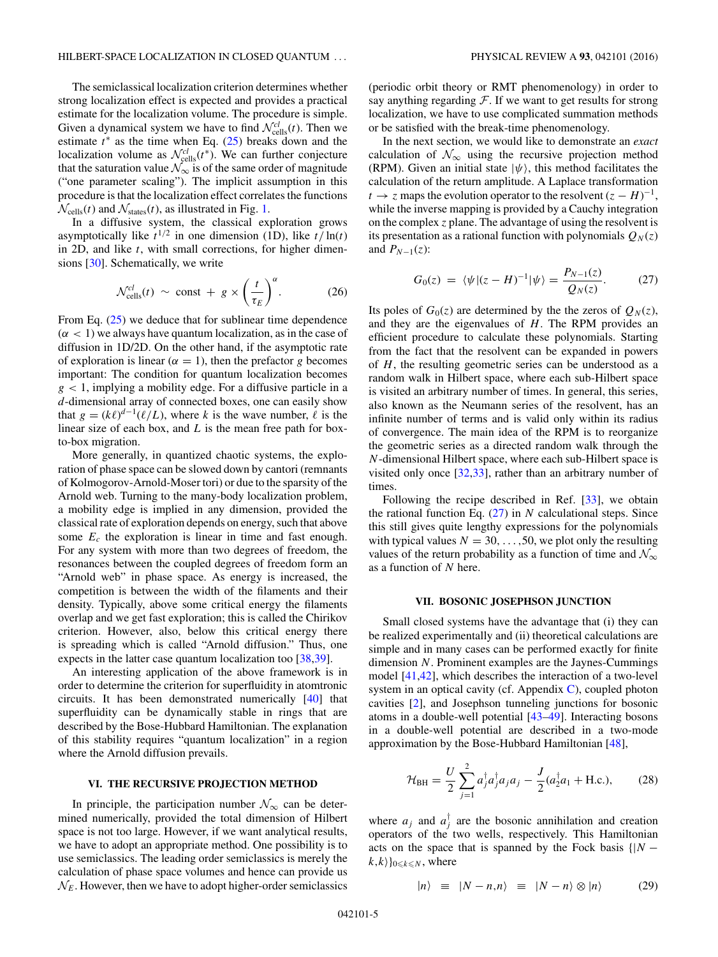<span id="page-4-0"></span>The semiclassical localization criterion determines whether strong localization effect is expected and provides a practical estimate for the localization volume. The procedure is simple. Given a dynamical system we have to find  $\mathcal{N}_{\text{cells}}^{cl}(t)$ . Then we estimate  $t^*$  as the time when Eq.  $(25)$  breaks down and the localization volume as  $\mathcal{N}_{\text{cells}}^{cl}(t^*)$ . We can further conjecture that the saturation value  $\mathcal{N}_{\infty}$  is of the same order of magnitude ("one parameter scaling"). The implicit assumption in this procedure is that the localization effect correlates the functions  $\mathcal{N}_{\text{cells}}(t)$  and  $\mathcal{N}_{\text{states}}(t)$ , as illustrated in Fig. [1.](#page-1-0)

In a diffusive system, the classical exploration grows asymptotically like  $t^{1/2}$  in one dimension (1D), like  $t/\ln(t)$ in 2D, and like *t*, with small corrections, for higher dimensions [\[30\]](#page-10-0). Schematically, we write

$$
\mathcal{N}_{\text{cells}}^{cl}(t) \sim \text{const} + g \times \left(\frac{t}{\tau_E}\right)^{\alpha}.
$$
 (26)

From Eq. [\(25\)](#page-3-0) we deduce that for sublinear time dependence  $(\alpha < 1)$  we always have quantum localization, as in the case of diffusion in 1D/2D. On the other hand, if the asymptotic rate of exploration is linear ( $\alpha = 1$ ), then the prefactor *g* becomes important: The condition for quantum localization becomes *g <* 1, implying a mobility edge. For a diffusive particle in a *d*-dimensional array of connected boxes, one can easily show that  $g = (k\ell)^{d-1}(\ell/L)$ , where *k* is the wave number,  $\ell$  is the linear size of each box, and *L* is the mean free path for boxto-box migration.

More generally, in quantized chaotic systems, the exploration of phase space can be slowed down by cantori (remnants of Kolmogorov-Arnold-Moser tori) or due to the sparsity of the Arnold web. Turning to the many-body localization problem, a mobility edge is implied in any dimension, provided the classical rate of exploration depends on energy, such that above some  $E_c$  the exploration is linear in time and fast enough. For any system with more than two degrees of freedom, the resonances between the coupled degrees of freedom form an "Arnold web" in phase space. As energy is increased, the competition is between the width of the filaments and their density. Typically, above some critical energy the filaments overlap and we get fast exploration; this is called the Chirikov criterion. However, also, below this critical energy there is spreading which is called "Arnold diffusion." Thus, one expects in the latter case quantum localization too [\[38,39\]](#page-10-0).

An interesting application of the above framework is in order to determine the criterion for superfluidity in atomtronic circuits. It has been demonstrated numerically [\[40\]](#page-10-0) that superfluidity can be dynamically stable in rings that are described by the Bose-Hubbard Hamiltonian. The explanation of this stability requires "quantum localization" in a region where the Arnold diffusion prevails.

## **VI. THE RECURSIVE PROJECTION METHOD**

In principle, the participation number  $\mathcal{N}_{\infty}$  can be determined numerically, provided the total dimension of Hilbert space is not too large. However, if we want analytical results, we have to adopt an appropriate method. One possibility is to use semiclassics. The leading order semiclassics is merely the calculation of phase space volumes and hence can provide us  $N_E$ . However, then we have to adopt higher-order semiclassics (periodic orbit theory or RMT phenomenology) in order to say anything regarding  $\mathcal F$ . If we want to get results for strong localization, we have to use complicated summation methods or be satisfied with the break-time phenomenology.

In the next section, we would like to demonstrate an *exact* calculation of  $\mathcal{N}_{\infty}$  using the recursive projection method (RPM). Given an initial state  $|\psi\rangle$ , this method facilitates the calculation of the return amplitude. A Laplace transformation  $t \rightarrow z$  maps the evolution operator to the resolvent  $(z - H)^{-1}$ , while the inverse mapping is provided by a Cauchy integration on the complex *z* plane. The advantage of using the resolvent is its presentation as a rational function with polynomials  $Q_N(z)$ and  $P_{N-1}(z)$ :

$$
G_0(z) = \langle \psi | (z - H)^{-1} | \psi \rangle = \frac{P_{N-1}(z)}{Q_N(z)}.
$$
 (27)

Its poles of  $G_0(z)$  are determined by the the zeros of  $Q_N(z)$ , and they are the eigenvalues of *H*. The RPM provides an efficient procedure to calculate these polynomials. Starting from the fact that the resolvent can be expanded in powers of *H*, the resulting geometric series can be understood as a random walk in Hilbert space, where each sub-Hilbert space is visited an arbitrary number of times. In general, this series, also known as the Neumann series of the resolvent, has an infinite number of terms and is valid only within its radius of convergence. The main idea of the RPM is to reorganize the geometric series as a directed random walk through the *N*-dimensional Hilbert space, where each sub-Hilbert space is visited only once [\[32,33\]](#page-10-0), rather than an arbitrary number of times.

Following the recipe described in Ref. [\[33\]](#page-10-0), we obtain the rational function Eq. (27) in *N* calculational steps. Since this still gives quite lengthy expressions for the polynomials with typical values  $N = 30, \ldots, 50$ , we plot only the resulting values of the return probability as a function of time and  $\mathcal{N}_{\infty}$ as a function of *N* here.

#### **VII. BOSONIC JOSEPHSON JUNCTION**

Small closed systems have the advantage that (i) they can be realized experimentally and (ii) theoretical calculations are simple and in many cases can be performed exactly for finite dimension *N*. Prominent examples are the Jaynes-Cummings model [\[41,42\]](#page-10-0), which describes the interaction of a two-level system in an optical cavity (cf. Appendix [C\)](#page-9-0), coupled photon cavities [\[2\]](#page-10-0), and Josephson tunneling junctions for bosonic atoms in a double-well potential [\[43–49\]](#page-10-0). Interacting bosons in a double-well potential are described in a two-mode approximation by the Bose-Hubbard Hamiltonian [\[48\]](#page-10-0),

$$
\mathcal{H}_{\rm BH} = \frac{U}{2} \sum_{j=1}^{2} a_j^{\dagger} a_j^{\dagger} a_j a_j - \frac{J}{2} (a_2^{\dagger} a_1 + \text{H.c.}),\tag{28}
$$

where  $a_j$  and  $a_j^{\dagger}$  are the bosonic annihilation and creation operators of the two wells, respectively. This Hamiltonian acts on the space that is spanned by the Fock basis  $\{N - \}$  $(k, k)$  }<sub>0</sub> $\leq k \leq N$ , where

$$
|n\rangle \equiv |N-n,n\rangle \equiv |N-n\rangle \otimes |n\rangle \tag{29}
$$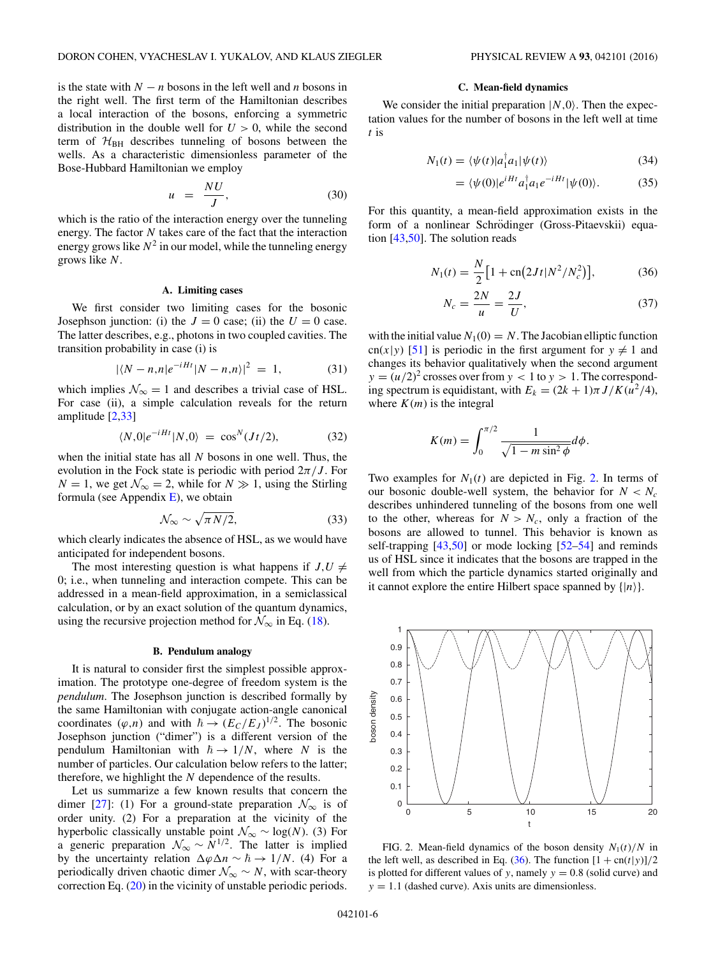<span id="page-5-0"></span>is the state with  $N - n$  bosons in the left well and *n* bosons in the right well. The first term of the Hamiltonian describes a local interaction of the bosons, enforcing a symmetric distribution in the double well for  $U > 0$ , while the second term of  $H<sub>BH</sub>$  describes tunneling of bosons between the wells. As a characteristic dimensionless parameter of the Bose-Hubbard Hamiltonian we employ

$$
u = \frac{NU}{J}, \tag{30}
$$

which is the ratio of the interaction energy over the tunneling energy. The factor *N* takes care of the fact that the interaction energy grows like  $N^2$  in our model, while the tunneling energy grows like *N*.

#### **A. Limiting cases**

We first consider two limiting cases for the bosonic Josephson junction: (i) the  $J = 0$  case; (ii) the  $U = 0$  case. The latter describes, e.g., photons in two coupled cavities. The transition probability in case (i) is

$$
|\langle N - n, n | e^{-iHt} | N - n, n \rangle|^2 = 1, \tag{31}
$$

which implies  $\mathcal{N}_{\infty} = 1$  and describes a trivial case of HSL. For case (ii), a simple calculation reveals for the return amplitude [\[2,33\]](#page-10-0)

$$
\langle N,0|e^{-iHt}|N,0\rangle = \cos^N(Jt/2),\tag{32}
$$

when the initial state has all *N* bosons in one well. Thus, the evolution in the Fock state is periodic with period  $2\pi/J$ . For *N* = 1, we get  $\mathcal{N}_{\infty}$  = 2, while for *N*  $\gg$  1, using the Stirling formula (see Appendix  $E$ ), we obtain

$$
\mathcal{N}_{\infty} \sim \sqrt{\pi N/2},\tag{33}
$$

which clearly indicates the absence of HSL, as we would have anticipated for independent bosons.

The most interesting question is what happens if  $J, U \neq$ 0; i.e., when tunneling and interaction compete. This can be addressed in a mean-field approximation, in a semiclassical calculation, or by an exact solution of the quantum dynamics, using the recursive projection method for  $\mathcal{N}_{\infty}$  in Eq. [\(18\)](#page-2-0).

## **B. Pendulum analogy**

It is natural to consider first the simplest possible approximation. The prototype one-degree of freedom system is the *pendulum*. The Josephson junction is described formally by the same Hamiltonian with conjugate action-angle canonical coordinates  $(\varphi, n)$  and with  $\hbar \to (E_C/E_J)^{1/2}$ . The bosonic Josephson junction ("dimer") is a different version of the pendulum Hamiltonian with  $\hbar \rightarrow 1/N$ , where N is the number of particles. Our calculation below refers to the latter; therefore, we highlight the *N* dependence of the results.

Let us summarize a few known results that concern the dimer [\[27\]](#page-10-0): (1) For a ground-state preparation  $\mathcal{N}_{\infty}$  is of order unity. (2) For a preparation at the vicinity of the hyperbolic classically unstable point  $\mathcal{N}_{\infty} \sim \log(N)$ . (3) For a generic preparation  $\mathcal{N}_{\infty} \sim N^{1/2}$ . The latter is implied by the uncertainty relation  $\Delta \varphi \Delta n \sim \hbar \rightarrow 1/N$ . (4) For a periodically driven chaotic dimer  $\mathcal{N}_{\infty} \sim N$ , with scar-theory correction Eq. [\(20\)](#page-3-0) in the vicinity of unstable periodic periods.

#### **C. Mean-field dynamics**

We consider the initial preparation  $|N,0\rangle$ . Then the expectation values for the number of bosons in the left well at time *t* is

$$
N_1(t) = \langle \psi(t) | a_1^\dagger a_1 | \psi(t) \rangle \tag{34}
$$

$$
= \langle \psi(0)|e^{iHt}a_1^{\dagger}a_1e^{-iHt}|\psi(0)\rangle. \tag{35}
$$

For this quantity, a mean-field approximation exists in the form of a nonlinear Schrödinger (Gross-Pitaevskii) equation [\[43,50\]](#page-10-0). The solution reads

$$
N_1(t) = \frac{N}{2} \left[ 1 + \text{cn} \left( 2Jt | N^2 / N_c^2 \right) \right],\tag{36}
$$

$$
N_c = \frac{2N}{u} = \frac{2J}{U},\tag{37}
$$

with the initial value  $N_1(0) = N$ . The Jacobian elliptic function cn( $x$ |*y*) [\[51\]](#page-10-0) is periodic in the first argument for  $y \neq 1$  and changes its behavior qualitatively when the second argument  $y = (u/2)^2$  crosses over from  $y < 1$  to  $y > 1$ . The corresponding spectrum is equidistant, with  $E_k = (2k + 1)\pi J/K(u^2/4)$ , where  $K(m)$  is the integral

$$
K(m) = \int_0^{\pi/2} \frac{1}{\sqrt{1 - m \sin^2 \phi}} d\phi.
$$

Two examples for  $N_1(t)$  are depicted in Fig. 2. In terms of our bosonic double-well system, the behavior for  $N < N_c$ describes unhindered tunneling of the bosons from one well to the other, whereas for  $N > N_c$ , only a fraction of the bosons are allowed to tunnel. This behavior is known as self-trapping [\[43,50\]](#page-10-0) or mode locking [\[52–](#page-10-0)[54\]](#page-11-0) and reminds us of HSL since it indicates that the bosons are trapped in the well from which the particle dynamics started originally and it cannot explore the entire Hilbert space spanned by  $\{|n\rangle\}$ .



FIG. 2. Mean-field dynamics of the boson density  $N_1(t)/N$  in the left well, as described in Eq. (36). The function  $[1 + cn(t|y)]/2$ is plotted for different values of *y*, namely  $y = 0.8$  (solid curve) and  $y = 1.1$  (dashed curve). Axis units are dimensionless.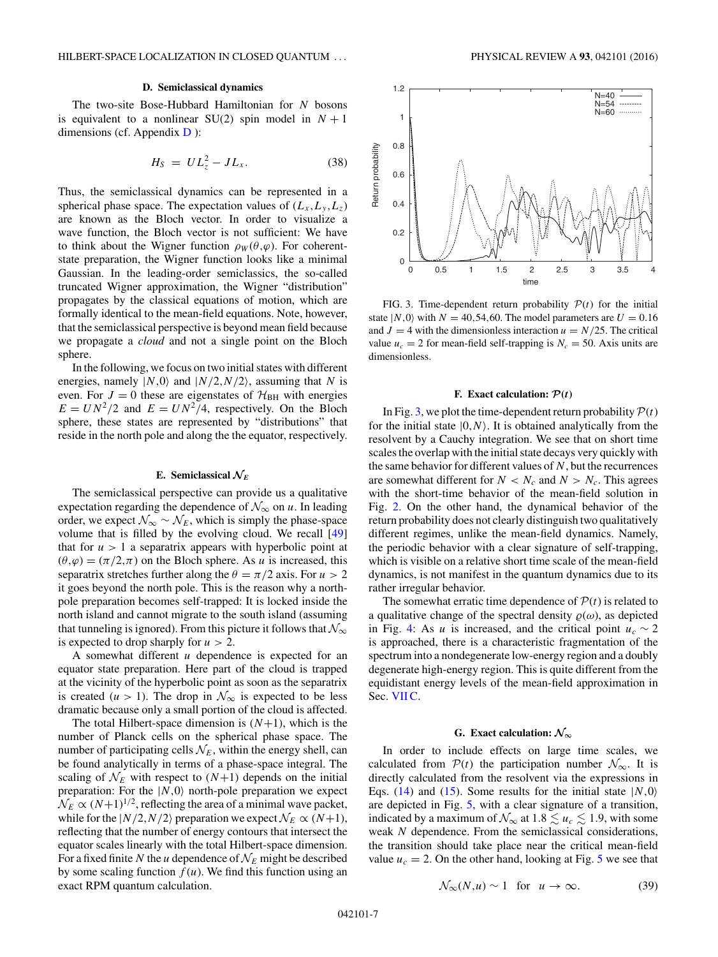#### **D. Semiclassical dynamics**

<span id="page-6-0"></span>The two-site Bose-Hubbard Hamiltonian for *N* bosons is equivalent to a nonlinear  $SU(2)$  spin model in  $N + 1$ dimensions (cf. Appendix [D](#page-9-0) ):

$$
H_S = UL_z^2 - JL_x. \tag{38}
$$

Thus, the semiclassical dynamics can be represented in a spherical phase space. The expectation values of  $(L_x, L_y, L_z)$ are known as the Bloch vector. In order to visualize a wave function, the Bloch vector is not sufficient: We have to think about the Wigner function  $\rho_W(\theta, \varphi)$ . For coherentstate preparation, the Wigner function looks like a minimal Gaussian. In the leading-order semiclassics, the so-called truncated Wigner approximation, the Wigner "distribution" propagates by the classical equations of motion, which are formally identical to the mean-field equations. Note, however, that the semiclassical perspective is beyond mean field because we propagate a *cloud* and not a single point on the Bloch sphere.

In the following, we focus on two initial states with different energies, namely  $|N,0\rangle$  and  $|N/2,N/2\rangle$ , assuming that *N* is even. For  $J = 0$  these are eigenstates of  $\mathcal{H}_{BH}$  with energies  $E = UN^2/2$  and  $E = UN^2/4$ , respectively. On the Bloch sphere, these states are represented by "distributions" that reside in the north pole and along the the equator, respectively.

#### **E.** Semiclassical  $\mathcal{N}_E$

The semiclassical perspective can provide us a qualitative expectation regarding the dependence of  $\mathcal{N}_{\infty}$  on  $\mathbf{u}$ . In leading order, we expect  $\mathcal{N}_{\infty} \sim \mathcal{N}_E$ , which is simply the phase-space volume that is filled by the evolving cloud. We recall [\[49\]](#page-10-0) that for  $u > 1$  a separatrix appears with hyperbolic point at  $(\theta, \varphi) = (\pi/2, \pi)$  on the Bloch sphere. As *u* is increased, this separatrix stretches further along the  $\theta = \pi/2$  axis. For  $u > 2$ it goes beyond the north pole. This is the reason why a northpole preparation becomes self-trapped: It is locked inside the north island and cannot migrate to the south island (assuming that tunneling is ignored). From this picture it follows that  $\mathcal{N}_{\infty}$ is expected to drop sharply for *u >* 2.

A somewhat different *u* dependence is expected for an equator state preparation. Here part of the cloud is trapped at the vicinity of the hyperbolic point as soon as the separatrix is created ( $u > 1$ ). The drop in  $\mathcal{N}_{\infty}$  is expected to be less dramatic because only a small portion of the cloud is affected.

The total Hilbert-space dimension is  $(N+1)$ , which is the number of Planck cells on the spherical phase space. The number of participating cells  $\mathcal{N}_E$ , within the energy shell, can be found analytically in terms of a phase-space integral. The scaling of  $\mathcal{N}_E$  with respect to  $(N+1)$  depends on the initial preparation: For the  $|N,0\rangle$  north-pole preparation we expect  $\mathcal{N}_E \propto (N+1)^{1/2}$ , reflecting the area of a minimal wave packet, while for the  $|N/2, N/2\rangle$  preparation we expect  $\mathcal{N}_E \propto (N+1)$ , reflecting that the number of energy contours that intersect the equator scales linearly with the total Hilbert-space dimension. For a fixed finite *N* the *u* dependence of  $\mathcal{N}_E$  might be described by some scaling function  $f(u)$ . We find this function using an exact RPM quantum calculation.



FIG. 3. Time-dependent return probability  $P(t)$  for the initial state  $|N,0\rangle$  with  $N = 40,54,60$ . The model parameters are  $U = 0.16$ and  $J = 4$  with the dimensionless interaction  $u = N/25$ . The critical value  $u_c = 2$  for mean-field self-trapping is  $N_c = 50$ . Axis units are dimensionless.

#### **F.** Exact calculation:  $P(t)$

In Fig. 3, we plot the time-dependent return probability  $P(t)$ for the initial state  $|0,N\rangle$ . It is obtained analytically from the resolvent by a Cauchy integration. We see that on short time scales the overlap with the initial state decays very quickly with the same behavior for different values of *N*, but the recurrences are somewhat different for  $N < N_c$  and  $N > N_c$ . This agrees with the short-time behavior of the mean-field solution in Fig. [2.](#page-5-0) On the other hand, the dynamical behavior of the return probability does not clearly distinguish two qualitatively different regimes, unlike the mean-field dynamics. Namely, the periodic behavior with a clear signature of self-trapping, which is visible on a relative short time scale of the mean-field dynamics, is not manifest in the quantum dynamics due to its rather irregular behavior.

The somewhat erratic time dependence of  $P(t)$  is related to a qualitative change of the spectral density  $\rho(\omega)$ , as depicted in Fig. [4:](#page-7-0) As *u* is increased, and the critical point  $u_c \sim 2$ is approached, there is a characteristic fragmentation of the spectrum into a nondegenerate low-energy region and a doubly degenerate high-energy region. This is quite different from the equidistant energy levels of the mean-field approximation in Sec. [VII C.](#page-5-0)

#### **G.** Exact calculation:  $\mathcal{N}_{\infty}$

In order to include effects on large time scales, we calculated from  $\mathcal{P}(t)$  the participation number  $\mathcal{N}_{\infty}$ . It is directly calculated from the resolvent via the expressions in Eqs. [\(14\)](#page-2-0) and [\(15\)](#page-2-0). Some results for the initial state  $|N,0\rangle$ are depicted in Fig. [5,](#page-7-0) with a clear signature of a transition, indicated by a maximum of  $\mathcal{N}_{\infty}$  at 1.8  $\leq u_c \leq 1.9$ , with some weak *N* dependence. From the semiclassical considerations, the transition should take place near the critical mean-field value  $u_c = 2$ . On the other hand, looking at Fig. [5](#page-7-0) we see that

$$
\mathcal{N}_{\infty}(N, u) \sim 1 \quad \text{for} \quad u \to \infty. \tag{39}
$$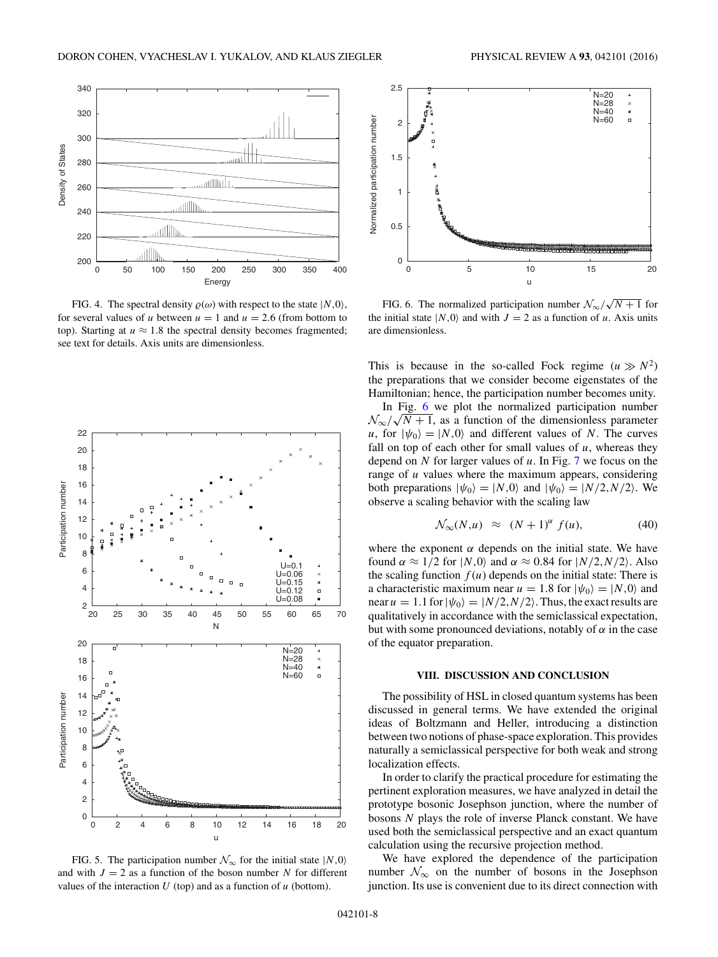<span id="page-7-0"></span>

FIG. 4. The spectral density  $\rho(\omega)$  with respect to the state  $|N,0\rangle$ , for several values of *u* between  $u = 1$  and  $u = 2.6$  (from bottom to top). Starting at  $u \approx 1.8$  the spectral density becomes fragmented; see text for details. Axis units are dimensionless.



FIG. 5. The participation number  $\mathcal{N}_{\infty}$  for the initial state  $|N,0\rangle$ and with  $J = 2$  as a function of the boson number N for different values of the interaction *U* (top) and as a function of *u* (bottom).



FIG. 6. The normalized participation number  $\mathcal{N}_{\infty}/\sqrt{N+1}$  for the initial state  $|N,0\rangle$  and with  $J=2$  as a function of *u*. Axis units are dimensionless.

This is because in the so-called Fock regime  $(u \gg N^2)$ the preparations that we consider become eigenstates of the Hamiltonian; hence, the participation number becomes unity.

In Fig. 6 we plot the normalized participation number In Fig. 6 we plot the normalized participation number<br> $\mathcal{N}_{\infty}/\sqrt{N+1}$ , as a function of the dimensionless parameter *u*, for  $|\psi_0\rangle = |N,0\rangle$  and different values of *N*. The curves fall on top of each other for small values of  $u$ , whereas they depend on *N* for larger values of *u*. In Fig. [7](#page-8-0) we focus on the range of *u* values where the maximum appears, considering both preparations  $|\psi_0\rangle = |N,0\rangle$  and  $|\psi_0\rangle = |N/2,N/2\rangle$ . We observe a scaling behavior with the scaling law

$$
\mathcal{N}_{\infty}(N, u) \approx (N+1)^{\alpha} f(u), \tag{40}
$$

where the exponent  $\alpha$  depends on the initial state. We have found  $\alpha \approx 1/2$  for  $|N,0\rangle$  and  $\alpha \approx 0.84$  for  $|N/2,N/2\rangle$ . Also the scaling function  $f(u)$  depends on the initial state: There is a characteristic maximum near  $u = 1.8$  for  $|\psi_0\rangle = |N,0\rangle$  and near  $u = 1.1$  for  $|\psi_0\rangle = |N/2, N/2\rangle$ . Thus, the exact results are qualitatively in accordance with the semiclassical expectation, but with some pronounced deviations, notably of  $\alpha$  in the case of the equator preparation.

#### **VIII. DISCUSSION AND CONCLUSION**

The possibility of HSL in closed quantum systems has been discussed in general terms. We have extended the original ideas of Boltzmann and Heller, introducing a distinction between two notions of phase-space exploration. This provides naturally a semiclassical perspective for both weak and strong localization effects.

In order to clarify the practical procedure for estimating the pertinent exploration measures, we have analyzed in detail the prototype bosonic Josephson junction, where the number of bosons *N* plays the role of inverse Planck constant. We have used both the semiclassical perspective and an exact quantum calculation using the recursive projection method.

We have explored the dependence of the participation number  $\mathcal{N}_{\infty}$  on the number of bosons in the Josephson junction. Its use is convenient due to its direct connection with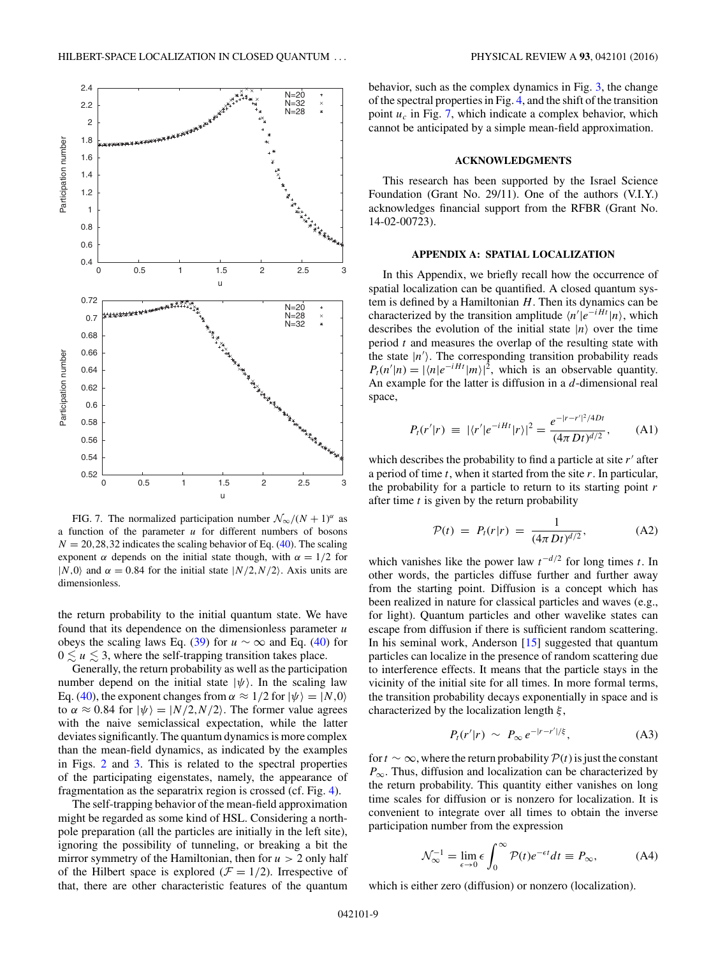<span id="page-8-0"></span>

FIG. 7. The normalized participation number  $\mathcal{N}_{\infty}/(N+1)^{\alpha}$  as a function of the parameter  $u$  for different numbers of bosons  $N = 20,28,32$  indicates the scaling behavior of Eq. [\(40\)](#page-7-0). The scaling exponent  $\alpha$  depends on the initial state though, with  $\alpha = 1/2$  for  $|N,0\rangle$  and  $\alpha = 0.84$  for the initial state  $|N/2,N/2\rangle$ . Axis units are dimensionless.

the return probability to the initial quantum state. We have found that its dependence on the dimensionless parameter *u* obeys the scaling laws Eq. [\(39\)](#page-6-0) for  $u \sim \infty$  and Eq. [\(40\)](#page-7-0) for  $0 \le u \le 3$ , where the self-trapping transition takes place.

Generally, the return probability as well as the participation number depend on the initial state  $|\psi\rangle$ . In the scaling law Eq. [\(40\)](#page-7-0), the exponent changes from  $\alpha \approx 1/2$  for  $|\psi\rangle = |N,0\rangle$ to  $\alpha \approx 0.84$  for  $|\psi\rangle = |N/2, N/2\rangle$ . The former value agrees with the naive semiclassical expectation, while the latter deviates significantly. The quantum dynamics is more complex than the mean-field dynamics, as indicated by the examples in Figs. [2](#page-5-0) and [3.](#page-6-0) This is related to the spectral properties of the participating eigenstates, namely, the appearance of fragmentation as the separatrix region is crossed (cf. Fig. [4\)](#page-7-0).

The self-trapping behavior of the mean-field approximation might be regarded as some kind of HSL. Considering a northpole preparation (all the particles are initially in the left site), ignoring the possibility of tunneling, or breaking a bit the mirror symmetry of the Hamiltonian, then for  $u > 2$  only half of the Hilbert space is explored ( $\mathcal{F} = 1/2$ ). Irrespective of that, there are other characteristic features of the quantum

behavior, such as the complex dynamics in Fig. [3,](#page-6-0) the change of the spectral properties in Fig. [4,](#page-7-0) and the shift of the transition point  $u_c$  in Fig. 7, which indicate a complex behavior, which cannot be anticipated by a simple mean-field approximation.

#### **ACKNOWLEDGMENTS**

This research has been supported by the Israel Science Foundation (Grant No. 29/11). One of the authors (V.I.Y.) acknowledges financial support from the RFBR (Grant No. 14-02-00723).

## **APPENDIX A: SPATIAL LOCALIZATION**

In this Appendix, we briefly recall how the occurrence of spatial localization can be quantified. A closed quantum system is defined by a Hamiltonian *H*. Then its dynamics can be characterized by the transition amplitude  $\langle n' | e^{-iHt} | n \rangle$ , which describes the evolution of the initial state  $|n\rangle$  over the time period *t* and measures the overlap of the resulting state with the state  $|n'\rangle$ . The corresponding transition probability reads  $P_t(n'|n) = |\langle n|e^{-iHt}|m\rangle|^2$ , which is an observable quantity. An example for the latter is diffusion in a *d*-dimensional real space,

$$
P_t(r'|r) \equiv |\langle r'|e^{-iHt}|r\rangle|^2 = \frac{e^{-|r-r'|^2/4Dt}}{(4\pi Dt)^{d/2}}, \quad (A1)
$$

which describes the probability to find a particle at site  $r'$  after a period of time *t*, when it started from the site *r*. In particular, the probability for a particle to return to its starting point *r* after time *t* is given by the return probability

$$
\mathcal{P}(t) \ = \ P_t(r|r) \ = \ \frac{1}{(4\pi Dt)^{d/2}},\tag{A2}
$$

which vanishes like the power law  $t^{-d/2}$  for long times  $t$ . In other words, the particles diffuse further and further away from the starting point. Diffusion is a concept which has been realized in nature for classical particles and waves (e.g., for light). Quantum particles and other wavelike states can escape from diffusion if there is sufficient random scattering. In his seminal work, Anderson [\[15\]](#page-10-0) suggested that quantum particles can localize in the presence of random scattering due to interference effects. It means that the particle stays in the vicinity of the initial site for all times. In more formal terms, the transition probability decays exponentially in space and is characterized by the localization length *ξ* ,

$$
P_t(r'|r) \sim P_{\infty} e^{-|r-r'|/\xi}, \qquad (A3)
$$

for  $t \sim \infty$ , where the return probability  $\mathcal{P}(t)$  is just the constant *P*<sub>∞</sub>. Thus, diffusion and localization can be characterized by the return probability. This quantity either vanishes on long time scales for diffusion or is nonzero for localization. It is convenient to integrate over all times to obtain the inverse participation number from the expression

$$
\mathcal{N}_{\infty}^{-1} = \lim_{\epsilon \to 0} \epsilon \int_0^{\infty} \mathcal{P}(t)e^{-\epsilon t}dt \equiv P_{\infty},
$$
 (A4)

which is either zero (diffusion) or nonzero (localization).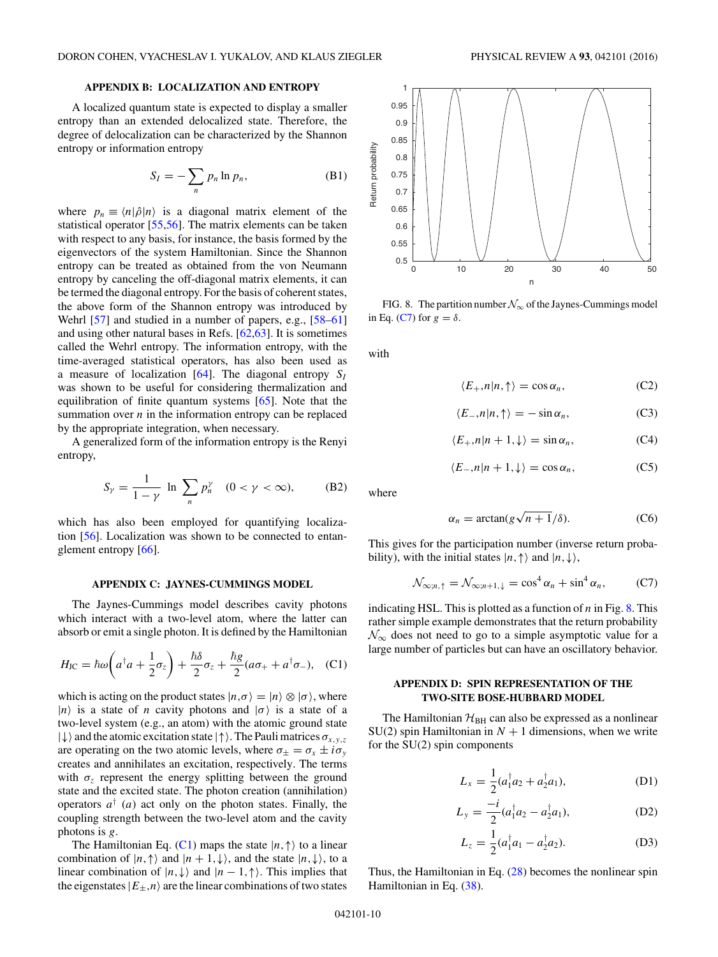## <span id="page-9-0"></span>**APPENDIX B: LOCALIZATION AND ENTROPY**

A localized quantum state is expected to display a smaller entropy than an extended delocalized state. Therefore, the degree of delocalization can be characterized by the Shannon entropy or information entropy

$$
S_I = -\sum_n p_n \ln p_n, \tag{B1}
$$

where  $p_n \equiv \langle n | \hat{\rho} | n \rangle$  is a diagonal matrix element of the statistical operator [\[55,56\]](#page-11-0). The matrix elements can be taken with respect to any basis, for instance, the basis formed by the eigenvectors of the system Hamiltonian. Since the Shannon entropy can be treated as obtained from the von Neumann entropy by canceling the off-diagonal matrix elements, it can be termed the diagonal entropy. For the basis of coherent states, the above form of the Shannon entropy was introduced by Wehrl [\[57\]](#page-11-0) and studied in a number of papers, e.g., [58-61] and using other natural bases in Refs. [\[62,63\]](#page-11-0). It is sometimes called the Wehrl entropy. The information entropy, with the time-averaged statistical operators, has also been used as a measure of localization [\[64\]](#page-11-0). The diagonal entropy *SI* was shown to be useful for considering thermalization and equilibration of finite quantum systems [\[65\]](#page-11-0). Note that the summation over  $n$  in the information entropy can be replaced by the appropriate integration, when necessary.

A generalized form of the information entropy is the Renyi entropy,

$$
S_{\gamma} = \frac{1}{1 - \gamma} \ln \sum_{n} p_n^{\gamma} \quad (0 < \gamma < \infty), \tag{B2}
$$

which has also been employed for quantifying localization [\[56\]](#page-11-0). Localization was shown to be connected to entanglement entropy [\[66\]](#page-11-0).

#### **APPENDIX C: JAYNES-CUMMINGS MODEL**

The Jaynes-Cummings model describes cavity photons which interact with a two-level atom, where the latter can absorb or emit a single photon. It is defined by the Hamiltonian

$$
H_{\rm IC} = \hbar \omega \bigg( a^{\dagger} a + \frac{1}{2} \sigma_z \bigg) + \frac{\hbar \delta}{2} \sigma_z + \frac{\hbar g}{2} (a \sigma_+ + a^{\dagger} \sigma_-), \quad \text{(C1)}
$$

which is acting on the product states  $|n,\sigma\rangle=|n\rangle\otimes|\sigma\rangle$ , where |*n*) is a state of *n* cavity photons and  $|\sigma\rangle$  is a state of a two-level system (e.g., an atom) with the atomic ground state  $|\downarrow\rangle$  and the atomic excitation state  $|\uparrow\rangle$ . The Pauli matrices  $\sigma_{x,y,z}$ are operating on the two atomic levels, where  $\sigma_{\pm} = \sigma_x \pm i \sigma_y$ creates and annihilates an excitation, respectively. The terms with  $\sigma$ <sub>z</sub> represent the energy splitting between the ground state and the excited state. The photon creation (annihilation) operators  $a^{\dagger}$  (*a*) act only on the photon states. Finally, the coupling strength between the two-level atom and the cavity photons is *g*.

The Hamiltonian Eq. (C1) maps the state  $|n, \uparrow\rangle$  to a linear combination of  $|n, \uparrow\rangle$  and  $|n + 1, \downarrow\rangle$ , and the state  $|n, \downarrow\rangle$ , to a linear combination of  $|n, \downarrow\rangle$  and  $|n-1, \uparrow\rangle$ . This implies that the eigenstates  $|E_{\pm},n\rangle$  are the linear combinations of two states

 1 0.95 0.9 0.85 Return probability Return probability 0.8 0.75 0.7 0.65 0.6 0.55 0.5 0 10 20 30 40 50 n

FIG. 8. The partition number  $\mathcal{N}_{\infty}$  of the Jaynes-Cummings model in Eq. (C7) for  $g = \delta$ .

with

$$
\langle E_+, n | n, \uparrow \rangle = \cos \alpha_n, \tag{C2}
$$

$$
\langle E_-, n | n, \uparrow \rangle = -\sin \alpha_n, \tag{C3}
$$

$$
\langle E_+, n | n+1, \downarrow \rangle = \sin \alpha_n, \tag{C4}
$$

$$
\langle E_-, n | n+1, \downarrow \rangle = \cos \alpha_n, \tag{C5}
$$

where

$$
\alpha_n = \arctan(g\sqrt{n+1}/\delta). \tag{C6}
$$

This gives for the participation number (inverse return probability), with the initial states  $|n, \uparrow\rangle$  and  $|n, \downarrow\rangle$ ,

$$
\mathcal{N}_{\infty;n,\uparrow} = \mathcal{N}_{\infty;n+1,\downarrow} = \cos^4 \alpha_n + \sin^4 \alpha_n, \qquad \text{(C7)}
$$

indicating HSL. This is plotted as a function of *n* in Fig. 8. This rather simple example demonstrates that the return probability  $\mathcal{N}_{\infty}$  does not need to go to a simple asymptotic value for a large number of particles but can have an oscillatory behavior.

# **APPENDIX D: SPIN REPRESENTATION OF THE TWO-SITE BOSE-HUBBARD MODEL**

The Hamiltonian  $H_{BH}$  can also be expressed as a nonlinear  $SU(2)$  spin Hamiltonian in  $N + 1$  dimensions, when we write for the SU(2) spin components

$$
L_x = \frac{1}{2}(a_1^{\dagger}a_2 + a_2^{\dagger}a_1),
$$
 (D1)

$$
L_{y} = \frac{-i}{2} (a_1^{\dagger} a_2 - a_2^{\dagger} a_1),
$$
 (D2)

$$
L_z = \frac{1}{2}(a_1^{\dagger}a_1 - a_2^{\dagger}a_2).
$$
 (D3)

Thus, the Hamiltonian in Eq.  $(28)$  becomes the nonlinear spin Hamiltonian in Eq. [\(38\)](#page-6-0).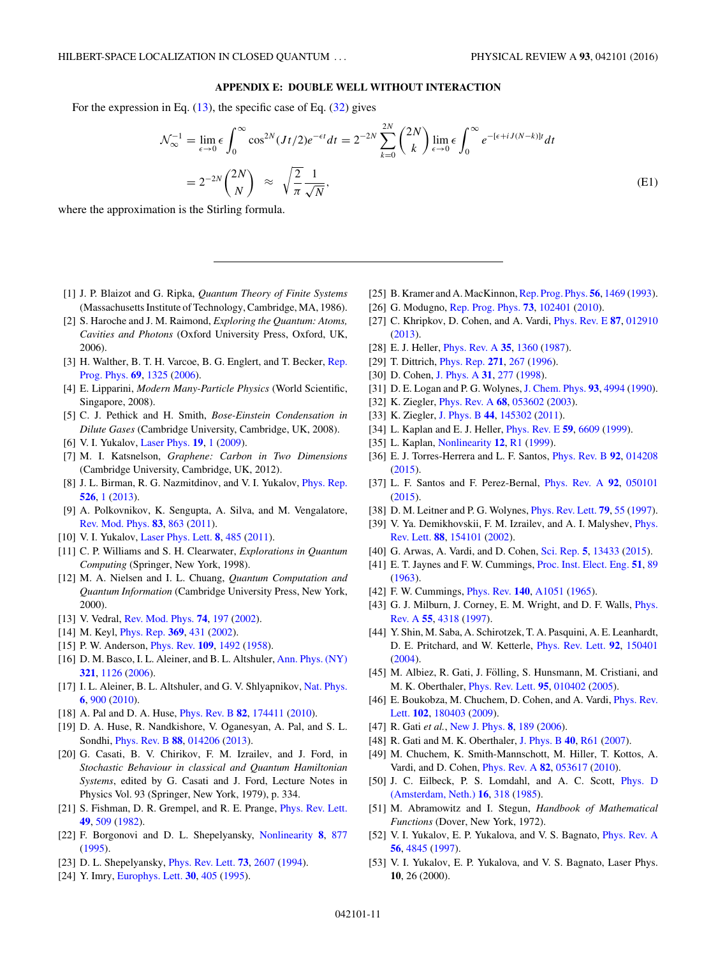## **APPENDIX E: DOUBLE WELL WITHOUT INTERACTION**

<span id="page-10-0"></span>For the expression in Eq.  $(13)$ , the specific case of Eq.  $(32)$  gives

$$
\mathcal{N}_{\infty}^{-1} = \lim_{\epsilon \to 0} \epsilon \int_0^{\infty} \cos^{2N} (Jt/2) e^{-\epsilon t} dt = 2^{-2N} \sum_{k=0}^{2N} {2N \choose k} \lim_{\epsilon \to 0} \epsilon \int_0^{\infty} e^{-[\epsilon + iJ(N-k)]t} dt
$$

$$
= 2^{-2N} {2N \choose N} \approx \sqrt{\frac{2}{\pi}} \frac{1}{\sqrt{N}},
$$
(E1)

where the approximation is the Stirling formula.

- [1] J. P. Blaizot and G. Ripka, *Quantum Theory of Finite Systems* (Massachusetts Institute of Technology, Cambridge, MA, 1986).
- [2] S. Haroche and J. M. Raimond, *Exploring the Quantum: Atoms, Cavities and Photons* (Oxford University Press, Oxford, UK, 2006).
- [3] [H. Walther, B. T. H. Varcoe, B. G. Englert, and T. Becker,](http://dx.doi.org/10.1088/0034-4885/69/5/R02) Rep. Prog. Phys. **[69](http://dx.doi.org/10.1088/0034-4885/69/5/R02)**, [1325](http://dx.doi.org/10.1088/0034-4885/69/5/R02) [\(2006\)](http://dx.doi.org/10.1088/0034-4885/69/5/R02).
- [4] E. Lipparini, *Modern Many-Particle Physics* (World Scientific, Singapore, 2008).
- [5] C. J. Pethick and H. Smith, *Bose-Einstein Condensation in Dilute Gases* (Cambridge University, Cambridge, UK, 2008).
- [6] V. I. Yukalov, [Laser Phys.](http://dx.doi.org/10.1134/S1054660X09010010) **[19](http://dx.doi.org/10.1134/S1054660X09010010)**, [1](http://dx.doi.org/10.1134/S1054660X09010010) [\(2009\)](http://dx.doi.org/10.1134/S1054660X09010010).
- [7] M. I. Katsnelson, *Graphene: Carbon in Two Dimensions* (Cambridge University, Cambridge, UK, 2012).
- [8] J. L. Birman, R. G. Nazmitdinov, and V. I. Yukalov, *[Phys. Rep.](http://dx.doi.org/10.1016/j.physrep.2012.11.005)* **[526](http://dx.doi.org/10.1016/j.physrep.2012.11.005)**, [1](http://dx.doi.org/10.1016/j.physrep.2012.11.005) [\(2013\)](http://dx.doi.org/10.1016/j.physrep.2012.11.005).
- [9] A. Polkovnikov, K. Sengupta, A. Silva, and M. Vengalatore, [Rev. Mod. Phys.](http://dx.doi.org/10.1103/RevModPhys.83.863) **[83](http://dx.doi.org/10.1103/RevModPhys.83.863)**, [863](http://dx.doi.org/10.1103/RevModPhys.83.863) [\(2011\)](http://dx.doi.org/10.1103/RevModPhys.83.863).
- [10] V. I. Yukalov, [Laser Phys. Lett.](http://dx.doi.org/10.1002/lapl.201110002) **[8](http://dx.doi.org/10.1002/lapl.201110002)**, [485](http://dx.doi.org/10.1002/lapl.201110002) [\(2011\)](http://dx.doi.org/10.1002/lapl.201110002).
- [11] C. P. Williams and S. H. Clearwater, *Explorations in Quantum Computing* (Springer, New York, 1998).
- [12] M. A. Nielsen and I. L. Chuang, *Quantum Computation and Quantum Information* (Cambridge University Press, New York, 2000).
- [13] V. Vedral, [Rev. Mod. Phys.](http://dx.doi.org/10.1103/RevModPhys.74.197) **[74](http://dx.doi.org/10.1103/RevModPhys.74.197)**, [197](http://dx.doi.org/10.1103/RevModPhys.74.197) [\(2002\)](http://dx.doi.org/10.1103/RevModPhys.74.197).
- [14] M. Keyl, [Phys. Rep.](http://dx.doi.org/10.1016/S0370-1573(02)00266-1) **[369](http://dx.doi.org/10.1016/S0370-1573(02)00266-1)**, [431](http://dx.doi.org/10.1016/S0370-1573(02)00266-1) [\(2002\)](http://dx.doi.org/10.1016/S0370-1573(02)00266-1).
- [15] P. W. Anderson, [Phys. Rev.](http://dx.doi.org/10.1103/PhysRev.109.1492) **[109](http://dx.doi.org/10.1103/PhysRev.109.1492)**, [1492](http://dx.doi.org/10.1103/PhysRev.109.1492) [\(1958\)](http://dx.doi.org/10.1103/PhysRev.109.1492).
- [16] D. M. Basco, I. L. Aleiner, and B. L. Altshuler, [Ann. Phys. \(NY\)](http://dx.doi.org/10.1016/j.aop.2005.11.014) **[321](http://dx.doi.org/10.1016/j.aop.2005.11.014)**, [1126](http://dx.doi.org/10.1016/j.aop.2005.11.014) [\(2006\)](http://dx.doi.org/10.1016/j.aop.2005.11.014).
- [17] I. L. Aleiner, B. L. Altshuler, and G. V. Shlyapnikov, [Nat. Phys.](http://dx.doi.org/10.1038/nphys1758) **[6](http://dx.doi.org/10.1038/nphys1758)**, [900](http://dx.doi.org/10.1038/nphys1758) [\(2010\)](http://dx.doi.org/10.1038/nphys1758).
- [18] A. Pal and D. A. Huse, [Phys. Rev. B](http://dx.doi.org/10.1103/PhysRevB.82.174411) **[82](http://dx.doi.org/10.1103/PhysRevB.82.174411)**, [174411](http://dx.doi.org/10.1103/PhysRevB.82.174411) [\(2010\)](http://dx.doi.org/10.1103/PhysRevB.82.174411).
- [19] D. A. Huse, R. Nandkishore, V. Oganesyan, A. Pal, and S. L. Sondhi, [Phys. Rev. B](http://dx.doi.org/10.1103/PhysRevB.88.014206) **[88](http://dx.doi.org/10.1103/PhysRevB.88.014206)**, [014206](http://dx.doi.org/10.1103/PhysRevB.88.014206) [\(2013\)](http://dx.doi.org/10.1103/PhysRevB.88.014206).
- [20] G. Casati, B. V. Chirikov, F. M. Izrailev, and J. Ford, in *Stochastic Behaviour in classical and Quantum Hamiltonian Systems*, edited by G. Casati and J. Ford, Lecture Notes in Physics Vol. 93 (Springer, New York, 1979), p. 334.
- [21] S. Fishman, D. R. Grempel, and R. E. Prange, *[Phys. Rev. Lett.](http://dx.doi.org/10.1103/PhysRevLett.49.509)* **[49](http://dx.doi.org/10.1103/PhysRevLett.49.509)**, [509](http://dx.doi.org/10.1103/PhysRevLett.49.509) [\(1982\)](http://dx.doi.org/10.1103/PhysRevLett.49.509).
- [22] F. Borgonovi and D. L. Shepelyansky, [Nonlinearity](http://dx.doi.org/10.1088/0951-7715/8/5/013) **[8](http://dx.doi.org/10.1088/0951-7715/8/5/013)**, [877](http://dx.doi.org/10.1088/0951-7715/8/5/013) [\(1995\)](http://dx.doi.org/10.1088/0951-7715/8/5/013).
- [23] D. L. Shepelyansky, [Phys. Rev. Lett.](http://dx.doi.org/10.1103/PhysRevLett.73.2607) **[73](http://dx.doi.org/10.1103/PhysRevLett.73.2607)**, [2607](http://dx.doi.org/10.1103/PhysRevLett.73.2607) [\(1994\)](http://dx.doi.org/10.1103/PhysRevLett.73.2607).
- [24] Y. Imry, [Europhys. Lett.](http://dx.doi.org/10.1209/0295-5075/30/7/005) **[30](http://dx.doi.org/10.1209/0295-5075/30/7/005)**, [405](http://dx.doi.org/10.1209/0295-5075/30/7/005) [\(1995\)](http://dx.doi.org/10.1209/0295-5075/30/7/005).
- [25] B. Kramer and A. MacKinnon,[Rep. Prog. Phys.](http://dx.doi.org/10.1088/0034-4885/56/12/001) **[56](http://dx.doi.org/10.1088/0034-4885/56/12/001)**, [1469](http://dx.doi.org/10.1088/0034-4885/56/12/001) [\(1993\)](http://dx.doi.org/10.1088/0034-4885/56/12/001).
- [26] G. Modugno, [Rep. Prog. Phys.](http://dx.doi.org/10.1088/0034-4885/73/10/102401) **[73](http://dx.doi.org/10.1088/0034-4885/73/10/102401)**, [102401](http://dx.doi.org/10.1088/0034-4885/73/10/102401) [\(2010\)](http://dx.doi.org/10.1088/0034-4885/73/10/102401).
- [27] C. Khripkov, D. Cohen, and A. Vardi, [Phys. Rev. E](http://dx.doi.org/10.1103/PhysRevE.87.012910) **[87](http://dx.doi.org/10.1103/PhysRevE.87.012910)**, [012910](http://dx.doi.org/10.1103/PhysRevE.87.012910) [\(2013\)](http://dx.doi.org/10.1103/PhysRevE.87.012910).
- [28] E. J. Heller, [Phys. Rev. A](http://dx.doi.org/10.1103/PhysRevA.35.1360) **[35](http://dx.doi.org/10.1103/PhysRevA.35.1360)**, [1360](http://dx.doi.org/10.1103/PhysRevA.35.1360) [\(1987\)](http://dx.doi.org/10.1103/PhysRevA.35.1360).
- [29] T. Dittrich, [Phys. Rep.](http://dx.doi.org/10.1016/0370-1573(95)00073-9) **[271](http://dx.doi.org/10.1016/0370-1573(95)00073-9)**, [267](http://dx.doi.org/10.1016/0370-1573(95)00073-9) [\(1996\)](http://dx.doi.org/10.1016/0370-1573(95)00073-9).
- [30] D. Cohen, [J. Phys. A](http://dx.doi.org/10.1088/0305-4470/31/1/025) **[31](http://dx.doi.org/10.1088/0305-4470/31/1/025)**, [277](http://dx.doi.org/10.1088/0305-4470/31/1/025) [\(1998\)](http://dx.doi.org/10.1088/0305-4470/31/1/025).
- [31] D. E. Logan and P. G. Wolynes, [J. Chem. Phys.](http://dx.doi.org/10.1063/1.458637) **[93](http://dx.doi.org/10.1063/1.458637)**, [4994](http://dx.doi.org/10.1063/1.458637) [\(1990\)](http://dx.doi.org/10.1063/1.458637).
- [32] K. Ziegler, [Phys. Rev. A](http://dx.doi.org/10.1103/PhysRevA.68.053602) **[68](http://dx.doi.org/10.1103/PhysRevA.68.053602)**, [053602](http://dx.doi.org/10.1103/PhysRevA.68.053602) [\(2003\)](http://dx.doi.org/10.1103/PhysRevA.68.053602).
- [33] K. Ziegler, [J. Phys. B](http://dx.doi.org/10.1088/0953-4075/44/14/145302) **[44](http://dx.doi.org/10.1088/0953-4075/44/14/145302)**, [145302](http://dx.doi.org/10.1088/0953-4075/44/14/145302) [\(2011\)](http://dx.doi.org/10.1088/0953-4075/44/14/145302).
- [34] L. Kaplan and E. J. Heller, [Phys. Rev. E](http://dx.doi.org/10.1103/PhysRevE.59.6609) **[59](http://dx.doi.org/10.1103/PhysRevE.59.6609)**, [6609](http://dx.doi.org/10.1103/PhysRevE.59.6609) [\(1999\)](http://dx.doi.org/10.1103/PhysRevE.59.6609).
- [35] L. Kaplan, [Nonlinearity](http://dx.doi.org/10.1088/0951-7715/12/2/009) **[12](http://dx.doi.org/10.1088/0951-7715/12/2/009)**, [R1](http://dx.doi.org/10.1088/0951-7715/12/2/009) [\(1999\)](http://dx.doi.org/10.1088/0951-7715/12/2/009).
- [36] E. J. Torres-Herrera and L. F. Santos, [Phys. Rev. B](http://dx.doi.org/10.1103/PhysRevB.92.014208) **[92](http://dx.doi.org/10.1103/PhysRevB.92.014208)**, [014208](http://dx.doi.org/10.1103/PhysRevB.92.014208) [\(2015\)](http://dx.doi.org/10.1103/PhysRevB.92.014208).
- [37] L. F. Santos and F. Perez-Bernal, [Phys. Rev. A](http://dx.doi.org/10.1103/PhysRevA.92.050101) **[92](http://dx.doi.org/10.1103/PhysRevA.92.050101)**, [050101](http://dx.doi.org/10.1103/PhysRevA.92.050101) [\(2015\)](http://dx.doi.org/10.1103/PhysRevA.92.050101).
- [38] D. M. Leitner and P. G. Wolynes, [Phys. Rev. Lett.](http://dx.doi.org/10.1103/PhysRevLett.79.55) **[79](http://dx.doi.org/10.1103/PhysRevLett.79.55)**, [55](http://dx.doi.org/10.1103/PhysRevLett.79.55) [\(1997\)](http://dx.doi.org/10.1103/PhysRevLett.79.55).
- [39] [V. Ya. Demikhovskii, F. M. Izrailev, and A. I. Malyshev,](http://dx.doi.org/10.1103/PhysRevLett.88.154101) Phys. Rev. Lett. **[88](http://dx.doi.org/10.1103/PhysRevLett.88.154101)**, [154101](http://dx.doi.org/10.1103/PhysRevLett.88.154101) [\(2002\)](http://dx.doi.org/10.1103/PhysRevLett.88.154101).
- [40] G. Arwas, A. Vardi, and D. Cohen, [Sci. Rep.](http://dx.doi.org/10.1038/srep13433) **[5](http://dx.doi.org/10.1038/srep13433)**, [13433](http://dx.doi.org/10.1038/srep13433) [\(2015\)](http://dx.doi.org/10.1038/srep13433).
- [41] E. T. Jaynes and F. W. Cummings, [Proc. Inst. Elect. Eng.](http://dx.doi.org/10.1109/PROC.1963.1664) **[51](http://dx.doi.org/10.1109/PROC.1963.1664)**, [89](http://dx.doi.org/10.1109/PROC.1963.1664) [\(1963\)](http://dx.doi.org/10.1109/PROC.1963.1664).
- [42] F. W. Cummings, [Phys. Rev.](http://dx.doi.org/10.1103/PhysRev.140.A1051) **[140](http://dx.doi.org/10.1103/PhysRev.140.A1051)**, [A1051](http://dx.doi.org/10.1103/PhysRev.140.A1051) [\(1965\)](http://dx.doi.org/10.1103/PhysRev.140.A1051).
- [43] [G. J. Milburn, J. Corney, E. M. Wright, and D. F. Walls,](http://dx.doi.org/10.1103/PhysRevA.55.4318) *Phys.* Rev. A **[55](http://dx.doi.org/10.1103/PhysRevA.55.4318)**, [4318](http://dx.doi.org/10.1103/PhysRevA.55.4318) [\(1997\)](http://dx.doi.org/10.1103/PhysRevA.55.4318).
- [44] Y. Shin, M. Saba, A. Schirotzek, T. A. Pasquini, A. E. Leanhardt, D. E. Pritchard, and W. Ketterle, [Phys. Rev. Lett.](http://dx.doi.org/10.1103/PhysRevLett.92.150401) **[92](http://dx.doi.org/10.1103/PhysRevLett.92.150401)**, [150401](http://dx.doi.org/10.1103/PhysRevLett.92.150401) [\(2004\)](http://dx.doi.org/10.1103/PhysRevLett.92.150401).
- [45] M. Albiez, R. Gati, J. Fölling, S. Hunsmann, M. Cristiani, and M. K. Oberthaler, [Phys. Rev. Lett.](http://dx.doi.org/10.1103/PhysRevLett.95.010402) **[95](http://dx.doi.org/10.1103/PhysRevLett.95.010402)**, [010402](http://dx.doi.org/10.1103/PhysRevLett.95.010402) [\(2005\)](http://dx.doi.org/10.1103/PhysRevLett.95.010402).
- [46] [E. Boukobza, M. Chuchem, D. Cohen, and A. Vardi,](http://dx.doi.org/10.1103/PhysRevLett.102.180403) Phys. Rev. Lett. **[102](http://dx.doi.org/10.1103/PhysRevLett.102.180403)**, [180403](http://dx.doi.org/10.1103/PhysRevLett.102.180403) [\(2009\)](http://dx.doi.org/10.1103/PhysRevLett.102.180403).
- [47] R. Gati *et al.*, [New J. Phys.](http://dx.doi.org/10.1088/1367-2630/8/9/189) **[8](http://dx.doi.org/10.1088/1367-2630/8/9/189)**, [189](http://dx.doi.org/10.1088/1367-2630/8/9/189) [\(2006\)](http://dx.doi.org/10.1088/1367-2630/8/9/189).
- [48] R. Gati and M. K. Oberthaler, [J. Phys. B](http://dx.doi.org/10.1088/0953-4075/40/10/R01) **[40](http://dx.doi.org/10.1088/0953-4075/40/10/R01)**, [R61](http://dx.doi.org/10.1088/0953-4075/40/10/R01) [\(2007\)](http://dx.doi.org/10.1088/0953-4075/40/10/R01).
- [49] M. Chuchem, K. Smith-Mannschott, M. Hiller, T. Kottos, A. Vardi, and D. Cohen, [Phys. Rev. A](http://dx.doi.org/10.1103/PhysRevA.82.053617) **[82](http://dx.doi.org/10.1103/PhysRevA.82.053617)**, [053617](http://dx.doi.org/10.1103/PhysRevA.82.053617) [\(2010\)](http://dx.doi.org/10.1103/PhysRevA.82.053617).
- [50] [J. C. Eilbeck, P. S. Lomdahl, and A. C. Scott,](http://dx.doi.org/10.1016/0167-2789(85)90012-0) Phys. D (Amsterdam, Neth.) **[16](http://dx.doi.org/10.1016/0167-2789(85)90012-0)**, [318](http://dx.doi.org/10.1016/0167-2789(85)90012-0) [\(1985\)](http://dx.doi.org/10.1016/0167-2789(85)90012-0).
- [51] M. Abramowitz and I. Stegun, *Handbook of Mathematical Functions* (Dover, New York, 1972).
- [52] V. I. Yukalov, E. P. Yukalova, and V. S. Bagnato, *[Phys. Rev. A](http://dx.doi.org/10.1103/PhysRevA.56.4845)* **[56](http://dx.doi.org/10.1103/PhysRevA.56.4845)**, [4845](http://dx.doi.org/10.1103/PhysRevA.56.4845) [\(1997\)](http://dx.doi.org/10.1103/PhysRevA.56.4845).
- [53] V. I. Yukalov, E. P. Yukalova, and V. S. Bagnato, Laser Phys. **10**, 26 (2000).